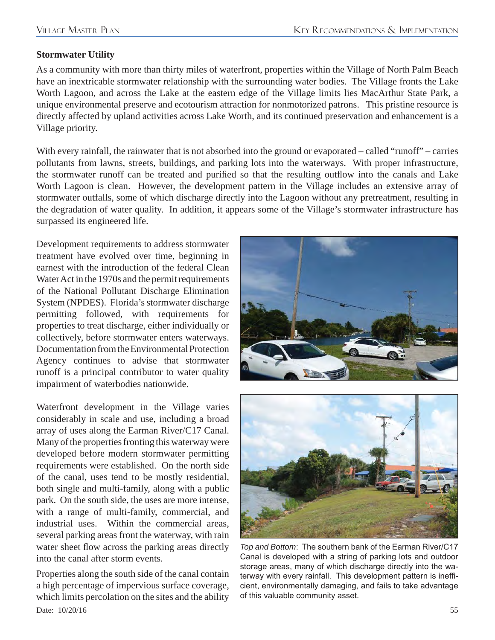## **Stormwater Utility**

As a community with more than thirty miles of waterfront, properties within the Village of North Palm Beach have an inextricable stormwater relationship with the surrounding water bodies. The Village fronts the Lake Worth Lagoon, and across the Lake at the eastern edge of the Village limits lies MacArthur State Park, a unique environmental preserve and ecotourism attraction for nonmotorized patrons. This pristine resource is directly affected by upland activities across Lake Worth, and its continued preservation and enhancement is a Village priority.

With every rainfall, the rainwater that is not absorbed into the ground or evaporated – called "runoff" – carries pollutants from lawns, streets, buildings, and parking lots into the waterways. With proper infrastructure, the stormwater runoff can be treated and purified so that the resulting outflow into the canals and Lake Worth Lagoon is clean. However, the development pattern in the Village includes an extensive array of stormwater outfalls, some of which discharge directly into the Lagoon without any pretreatment, resulting in the degradation of water quality. In addition, it appears some of the Village's stormwater infrastructure has surpassed its engineered life.

Development requirements to address stormwater treatment have evolved over time, beginning in earnest with the introduction of the federal Clean Water Act in the 1970s and the permit requirements of the National Pollutant Discharge Elimination System (NPDES). Florida's stormwater discharge permitting followed, with requirements for properties to treat discharge, either individually or collectively, before stormwater enters waterways. Documentation from the Environmental Protection Agency continues to advise that stormwater runoff is a principal contributor to water quality impairment of waterbodies nationwide.

Waterfront development in the Village varies considerably in scale and use, including a broad array of uses along the Earman River/C17 Canal. Many of the properties fronting this waterway were developed before modern stormwater permitting requirements were established. On the north side of the canal, uses tend to be mostly residential, both single and multi-family, along with a public park. On the south side, the uses are more intense, with a range of multi-family, commercial, and industrial uses. Within the commercial areas, several parking areas front the waterway, with rain water sheet flow across the parking areas directly into the canal after storm events.

Date:  $10/20/16$  55 Properties along the south side of the canal contain a high percentage of impervious surface coverage, which limits percolation on the sites and the ability





*Top and Bottom*: The southern bank of the Earman River/C17 Canal is developed with a string of parking lots and outdoor storage areas, many of which discharge directly into the waterway with every rainfall. This development pattern is inefficient, environmentally damaging, and fails to take advantage of this valuable community asset.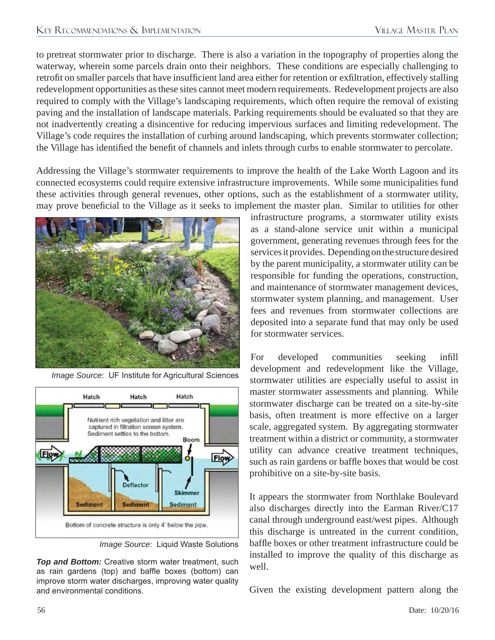to pretreat stormwater prior to discharge. There is also a variation in the topography of properties along the waterway, wherein some parcels drain onto their neighbors. These conditions are especially challenging to retrofit on smaller parcels that have insufficient land area either for retention or exfiltration, effectively stalling redevelopment opportunities as these sites cannot meet modern requirements. Redevelopment projects are also required to comply with the Village's landscaping requirements, which often require the removal of existing paving and the installation of landscape materials. Parking requirements should be evaluated so that they are not inadvertently creating a disincentive for reducing impervious surfaces and limiting redevelopment. The Village's code requires the installation of curbing around landscaping, which prevents stormwater collection; the Village has identified the benefit of channels and inlets through curbs to enable stormwater to percolate.

Addressing the Village's stormwater requirements to improve the health of the Lake Worth Lagoon and its connected ecosystems could require extensive infrastructure improvements. While some municipalities fund these activities through general revenues, other options, such as the establishment of a stormwater utility, may prove beneficial to the Village as it seeks to implement the master plan. Similar to utilities for other



*Image Source*: UF Institute for Agricultural Sciences



*Image Source*: Liquid Waste Solutions

*Top and Bottom:* Creative storm water treatment, such as rain gardens (top) and baffle boxes (bottom) can improve storm water discharges, improving water quality and environmental conditions.

infrastructure programs, a stormwater utility exists as a stand-alone service unit within a municipal government, generating revenues through fees for the services it provides. Depending on the structure desired by the parent municipality, a stormwater utility can be responsible for funding the operations, construction, and maintenance of stormwater management devices, stormwater system planning, and management. User fees and revenues from stormwater collections are deposited into a separate fund that may only be used for stormwater services.

For developed communities seeking infill development and redevelopment like the Village, stormwater utilities are especially useful to assist in master stormwater assessments and planning. While stormwater discharge can be treated on a site-by-site basis, often treatment is more effective on a larger scale, aggregated system. By aggregating stormwater treatment within a district or community, a stormwater utility can advance creative treatment techniques, such as rain gardens or baffle boxes that would be cost prohibitive on a site-by-site basis.

It appears the stormwater from Northlake Boulevard also discharges directly into the Earman River/C17 canal through underground east/west pipes. Although this discharge is untreated in the current condition, baffle boxes or other treatment infrastructure could be installed to improve the quality of this discharge as well.

Given the existing development pattern along the